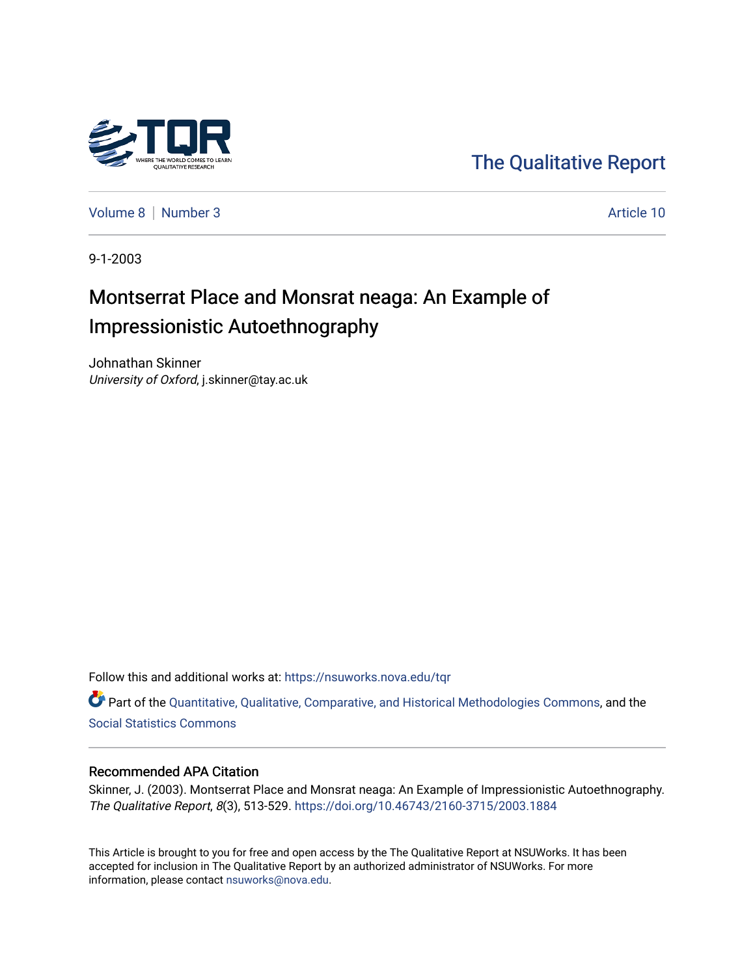

[The Qualitative Report](https://nsuworks.nova.edu/tqr) 

[Volume 8](https://nsuworks.nova.edu/tqr/vol8) | [Number 3](https://nsuworks.nova.edu/tqr/vol8/iss3) Article 10

9-1-2003

# Montserrat Place and Monsrat neaga: An Example of Impressionistic Autoethnography

Johnathan Skinner University of Oxford, j.skinner@tay.ac.uk

Follow this and additional works at: [https://nsuworks.nova.edu/tqr](https://nsuworks.nova.edu/tqr?utm_source=nsuworks.nova.edu%2Ftqr%2Fvol8%2Fiss3%2F10&utm_medium=PDF&utm_campaign=PDFCoverPages) 

Part of the [Quantitative, Qualitative, Comparative, and Historical Methodologies Commons,](http://network.bepress.com/hgg/discipline/423?utm_source=nsuworks.nova.edu%2Ftqr%2Fvol8%2Fiss3%2F10&utm_medium=PDF&utm_campaign=PDFCoverPages) and the [Social Statistics Commons](http://network.bepress.com/hgg/discipline/1275?utm_source=nsuworks.nova.edu%2Ftqr%2Fvol8%2Fiss3%2F10&utm_medium=PDF&utm_campaign=PDFCoverPages) 

### Recommended APA Citation

Skinner, J. (2003). Montserrat Place and Monsrat neaga: An Example of Impressionistic Autoethnography. The Qualitative Report, 8(3), 513-529.<https://doi.org/10.46743/2160-3715/2003.1884>

This Article is brought to you for free and open access by the The Qualitative Report at NSUWorks. It has been accepted for inclusion in The Qualitative Report by an authorized administrator of NSUWorks. For more information, please contact [nsuworks@nova.edu.](mailto:nsuworks@nova.edu)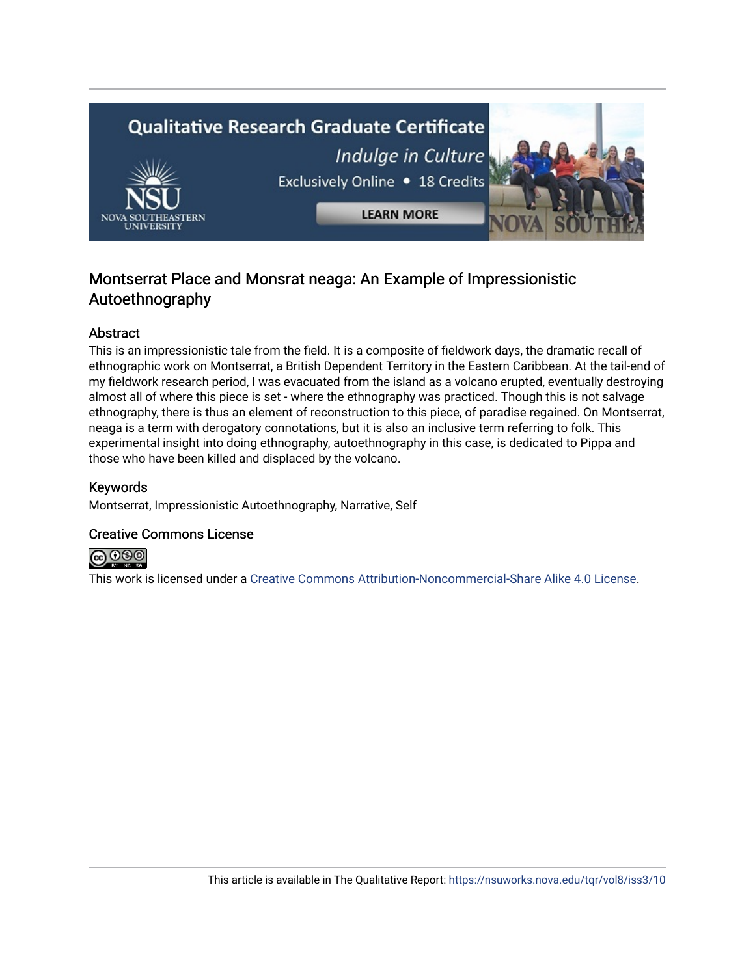

## Montserrat Place and Monsrat neaga: An Example of Impressionistic Autoethnography

## Abstract

This is an impressionistic tale from the field. It is a composite of fieldwork days, the dramatic recall of ethnographic work on Montserrat, a British Dependent Territory in the Eastern Caribbean. At the tail-end of my fieldwork research period, I was evacuated from the island as a volcano erupted, eventually destroying almost all of where this piece is set - where the ethnography was practiced. Though this is not salvage ethnography, there is thus an element of reconstruction to this piece, of paradise regained. On Montserrat, neaga is a term with derogatory connotations, but it is also an inclusive term referring to folk. This experimental insight into doing ethnography, autoethnography in this case, is dedicated to Pippa and those who have been killed and displaced by the volcano.

## Keywords

Montserrat, Impressionistic Autoethnography, Narrative, Self

## Creative Commons License



This work is licensed under a [Creative Commons Attribution-Noncommercial-Share Alike 4.0 License](https://creativecommons.org/licenses/by-nc-sa/4.0/).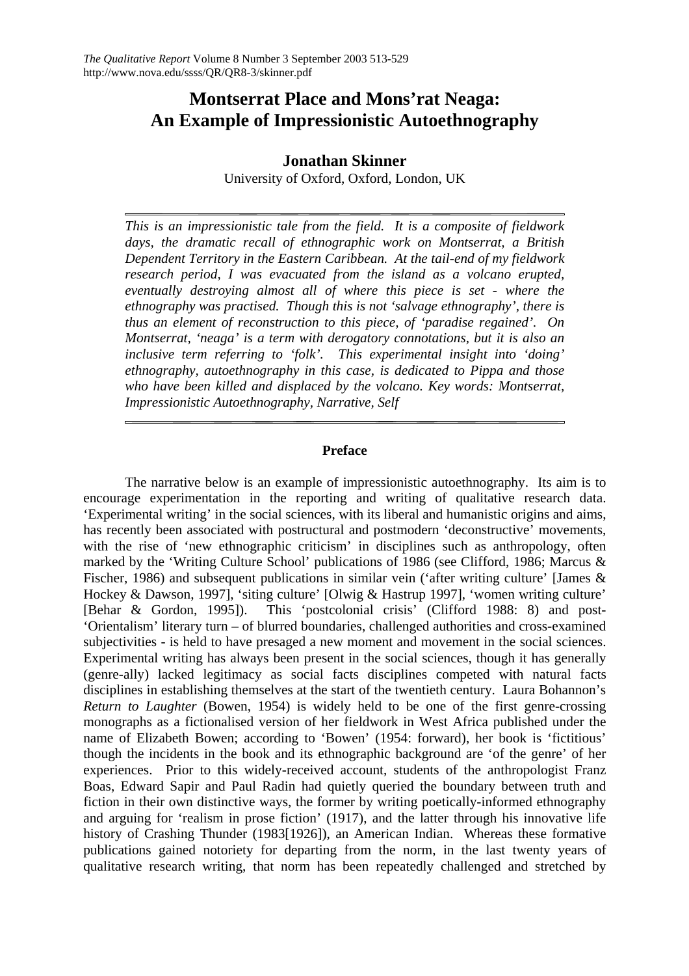## **Montserrat Place and Mons'rat Neaga: An Example of Impressionistic Autoethnography**

## **Jonathan Skinner**

University of Oxford, Oxford, London, UK

*This is an impressionistic tale from the field. It is a composite of fieldwork days, the dramatic recall of ethnographic work on Montserrat, a British Dependent Territory in the Eastern Caribbean. At the tail-end of my fieldwork research period, I was evacuated from the island as a volcano erupted, eventually destroying almost all of where this piece is set - where the ethnography was practised. Though this is not 'salvage ethnography', there is thus an element of reconstruction to this piece, of 'paradise regained'. On Montserrat, 'neaga' is a term with derogatory connotations, but it is also an inclusive term referring to 'folk'. This experimental insight into 'doing' ethnography, autoethnography in this case, is dedicated to Pippa and those who have been killed and displaced by the volcano. Key words: Montserrat, Impressionistic Autoethnography, Narrative, Self* 

## **Preface**

The narrative below is an example of impressionistic autoethnography. Its aim is to encourage experimentation in the reporting and writing of qualitative research data. 'Experimental writing' in the social sciences, with its liberal and humanistic origins and aims, has recently been associated with postructural and postmodern 'deconstructive' movements, with the rise of 'new ethnographic criticism' in disciplines such as anthropology, often marked by the 'Writing Culture School' publications of 1986 (see Clifford, 1986; Marcus & Fischer, 1986) and subsequent publications in similar vein ('after writing culture' [James & Hockey & Dawson, 1997], 'siting culture' [Olwig & Hastrup 1997], 'women writing culture' [Behar & Gordon, 1995]). This 'postcolonial crisis' (Clifford 1988: 8) and post- 'Orientalism' literary turn – of blurred boundaries, challenged authorities and cross-examined subjectivities - is held to have presaged a new moment and movement in the social sciences. Experimental writing has always been present in the social sciences, though it has generally (genre-ally) lacked legitimacy as social facts disciplines competed with natural facts disciplines in establishing themselves at the start of the twentieth century. Laura Bohannon's *Return to Laughter* (Bowen, 1954) is widely held to be one of the first genre-crossing monographs as a fictionalised version of her fieldwork in West Africa published under the name of Elizabeth Bowen; according to 'Bowen' (1954: forward), her book is 'fictitious' though the incidents in the book and its ethnographic background are 'of the genre' of her experiences. Prior to this widely-received account, students of the anthropologist Franz Boas, Edward Sapir and Paul Radin had quietly queried the boundary between truth and fiction in their own distinctive ways, the former by writing poetically-informed ethnography and arguing for 'realism in prose fiction' (1917), and the latter through his innovative life history of Crashing Thunder (1983[1926]), an American Indian. Whereas these formative publications gained notoriety for departing from the norm, in the last twenty years of qualitative research writing, that norm has been repeatedly challenged and stretched by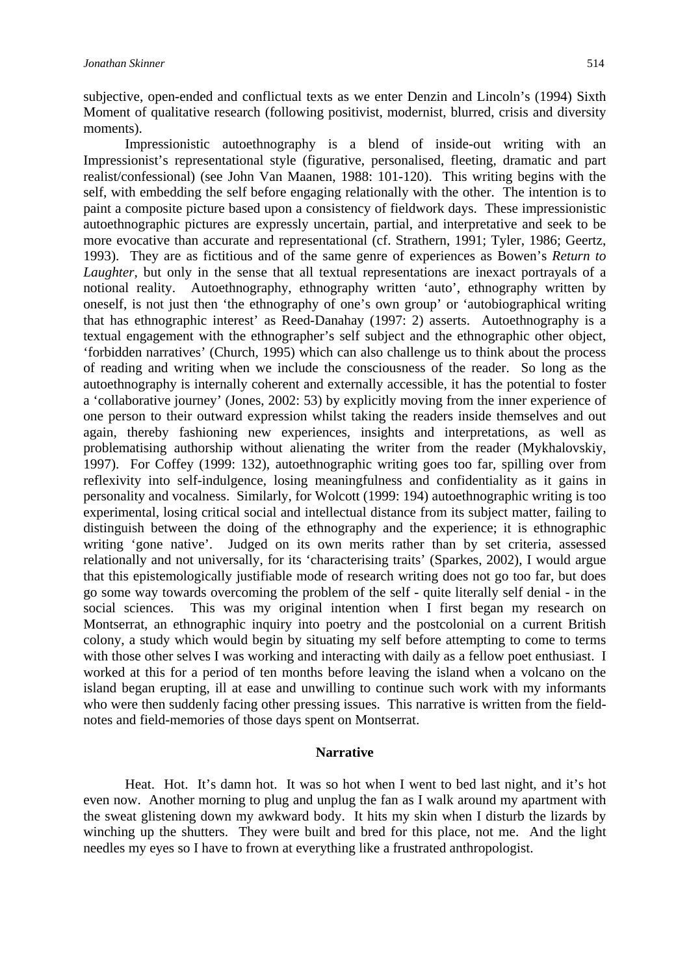subjective, open-ended and conflictual texts as we enter Denzin and Lincoln's (1994) Sixth Moment of qualitative research (following positivist, modernist, blurred, crisis and diversity moments).

 Impressionistic autoethnography is a blend of inside-out writing with an Impressionist's representational style (figurative, personalised, fleeting, dramatic and part realist/confessional) (see John Van Maanen, 1988: 101-120). This writing begins with the self, with embedding the self before engaging relationally with the other. The intention is to paint a composite picture based upon a consistency of fieldwork days. These impressionistic autoethnographic pictures are expressly uncertain, partial, and interpretative and seek to be more evocative than accurate and representational (cf. Strathern, 1991; Tyler, 1986; Geertz, 1993). They are as fictitious and of the same genre of experiences as Bowen's *Return to Laughter*, but only in the sense that all textual representations are inexact portrayals of a notional reality. Autoethnography, ethnography written 'auto', ethnography written by oneself, is not just then 'the ethnography of one's own group' or 'autobiographical writing that has ethnographic interest' as Reed-Danahay (1997: 2) asserts. Autoethnography is a textual engagement with the ethnographer's self subject and the ethnographic other object, 'forbidden narratives' (Church, 1995) which can also challenge us to think about the process of reading and writing when we include the consciousness of the reader. So long as the autoethnography is internally coherent and externally accessible, it has the potential to foster a 'collaborative journey' (Jones, 2002: 53) by explicitly moving from the inner experience of one person to their outward expression whilst taking the readers inside themselves and out again, thereby fashioning new experiences, insights and interpretations, as well as problematising authorship without alienating the writer from the reader (Mykhalovskiy, 1997). For Coffey (1999: 132), autoethnographic writing goes too far, spilling over from reflexivity into self-indulgence, losing meaningfulness and confidentiality as it gains in personality and vocalness. Similarly, for Wolcott (1999: 194) autoethnographic writing is too experimental, losing critical social and intellectual distance from its subject matter, failing to distinguish between the doing of the ethnography and the experience; it is ethnographic writing 'gone native'. Judged on its own merits rather than by set criteria, assessed relationally and not universally, for its 'characterising traits' (Sparkes, 2002), I would argue that this epistemologically justifiable mode of research writing does not go too far, but does go some way towards overcoming the problem of the self - quite literally self denial - in the social sciences. This was my original intention when I first began my research on Montserrat, an ethnographic inquiry into poetry and the postcolonial on a current British colony, a study which would begin by situating my self before attempting to come to terms with those other selves I was working and interacting with daily as a fellow poet enthusiast. I worked at this for a period of ten months before leaving the island when a volcano on the island began erupting, ill at ease and unwilling to continue such work with my informants who were then suddenly facing other pressing issues. This narrative is written from the fieldnotes and field-memories of those days spent on Montserrat.

#### **Narrative**

Heat. Hot. It's damn hot. It was so hot when I went to bed last night, and it's hot even now. Another morning to plug and unplug the fan as I walk around my apartment with the sweat glistening down my awkward body. It hits my skin when I disturb the lizards by winching up the shutters. They were built and bred for this place, not me. And the light needles my eyes so I have to frown at everything like a frustrated anthropologist.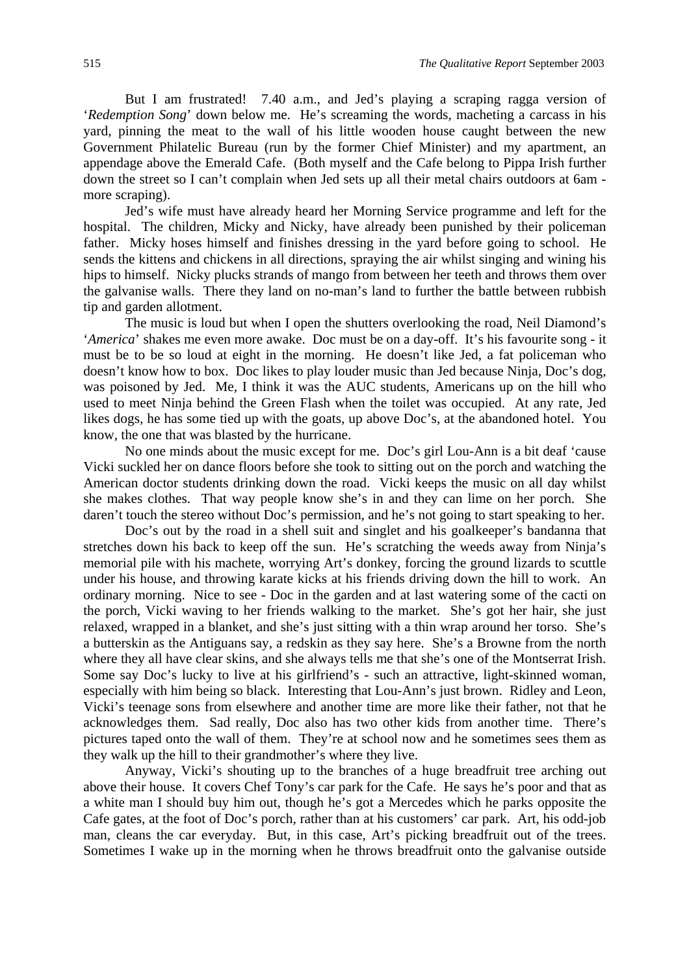But I am frustrated! 7.40 a.m., and Jed's playing a scraping ragga version of '*Redemption Song*' down below me. He's screaming the words, macheting a carcass in his yard, pinning the meat to the wall of his little wooden house caught between the new Government Philatelic Bureau (run by the former Chief Minister) and my apartment, an appendage above the Emerald Cafe. (Both myself and the Cafe belong to Pippa Irish further down the street so I can't complain when Jed sets up all their metal chairs outdoors at 6am more scraping).

Jed's wife must have already heard her Morning Service programme and left for the hospital. The children, Micky and Nicky, have already been punished by their policeman father. Micky hoses himself and finishes dressing in the yard before going to school. He sends the kittens and chickens in all directions, spraying the air whilst singing and wining his hips to himself. Nicky plucks strands of mango from between her teeth and throws them over the galvanise walls. There they land on no-man's land to further the battle between rubbish tip and garden allotment.

The music is loud but when I open the shutters overlooking the road, Neil Diamond's '*America*' shakes me even more awake. Doc must be on a day-off. It's his favourite song - it must be to be so loud at eight in the morning. He doesn't like Jed, a fat policeman who doesn't know how to box. Doc likes to play louder music than Jed because Ninja, Doc's dog, was poisoned by Jed. Me, I think it was the AUC students, Americans up on the hill who used to meet Ninja behind the Green Flash when the toilet was occupied. At any rate, Jed likes dogs, he has some tied up with the goats, up above Doc's, at the abandoned hotel. You know, the one that was blasted by the hurricane.

No one minds about the music except for me. Doc's girl Lou-Ann is a bit deaf 'cause Vicki suckled her on dance floors before she took to sitting out on the porch and watching the American doctor students drinking down the road. Vicki keeps the music on all day whilst she makes clothes. That way people know she's in and they can lime on her porch. She daren't touch the stereo without Doc's permission, and he's not going to start speaking to her.

Doc's out by the road in a shell suit and singlet and his goalkeeper's bandanna that stretches down his back to keep off the sun. He's scratching the weeds away from Ninja's memorial pile with his machete, worrying Art's donkey, forcing the ground lizards to scuttle under his house, and throwing karate kicks at his friends driving down the hill to work. An ordinary morning. Nice to see - Doc in the garden and at last watering some of the cacti on the porch, Vicki waving to her friends walking to the market. She's got her hair, she just relaxed, wrapped in a blanket, and she's just sitting with a thin wrap around her torso. She's a butterskin as the Antiguans say, a redskin as they say here. She's a Browne from the north where they all have clear skins, and she always tells me that she's one of the Montserrat Irish. Some say Doc's lucky to live at his girlfriend's - such an attractive, light-skinned woman, especially with him being so black. Interesting that Lou-Ann's just brown. Ridley and Leon, Vicki's teenage sons from elsewhere and another time are more like their father, not that he acknowledges them. Sad really, Doc also has two other kids from another time. There's pictures taped onto the wall of them. They're at school now and he sometimes sees them as they walk up the hill to their grandmother's where they live.

Anyway, Vicki's shouting up to the branches of a huge breadfruit tree arching out above their house. It covers Chef Tony's car park for the Cafe. He says he's poor and that as a white man I should buy him out, though he's got a Mercedes which he parks opposite the Cafe gates, at the foot of Doc's porch, rather than at his customers' car park. Art, his odd-job man, cleans the car everyday. But, in this case, Art's picking breadfruit out of the trees. Sometimes I wake up in the morning when he throws breadfruit onto the galvanise outside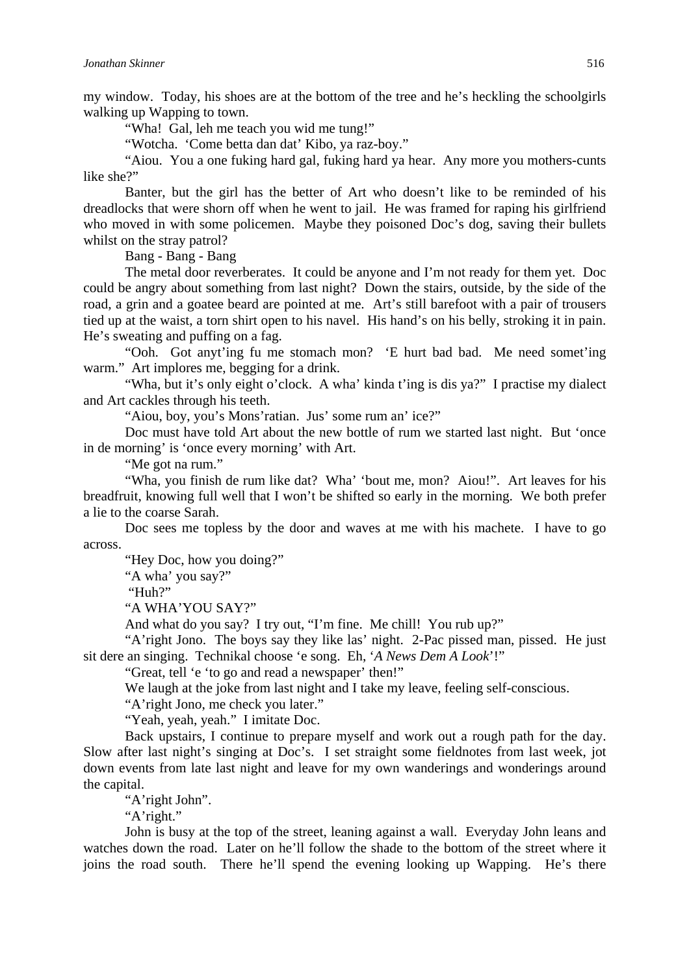my window. Today, his shoes are at the bottom of the tree and he's heckling the schoolgirls walking up Wapping to town.

"Wha! Gal, leh me teach you wid me tung!"

"Wotcha. 'Come betta dan dat' Kibo, ya raz-boy."

"Aiou. You a one fuking hard gal, fuking hard ya hear. Any more you mothers-cunts like she?"

Banter, but the girl has the better of Art who doesn't like to be reminded of his dreadlocks that were shorn off when he went to jail. He was framed for raping his girlfriend who moved in with some policemen. Maybe they poisoned Doc's dog, saving their bullets whilst on the stray patrol?

Bang - Bang - Bang

The metal door reverberates. It could be anyone and I'm not ready for them yet. Doc could be angry about something from last night? Down the stairs, outside, by the side of the road, a grin and a goatee beard are pointed at me. Art's still barefoot with a pair of trousers tied up at the waist, a torn shirt open to his navel. His hand's on his belly, stroking it in pain. He's sweating and puffing on a fag.

"Ooh. Got anyt'ing fu me stomach mon? 'E hurt bad bad. Me need somet'ing warm." Art implores me, begging for a drink.

"Wha, but it's only eight o'clock. A wha' kinda t'ing is dis ya?" I practise my dialect and Art cackles through his teeth.

"Aiou, boy, you's Mons'ratian. Jus' some rum an' ice?"

Doc must have told Art about the new bottle of rum we started last night. But 'once in de morning' is 'once every morning' with Art.

"Me got na rum."

"Wha, you finish de rum like dat? Wha' 'bout me, mon? Aiou!". Art leaves for his breadfruit, knowing full well that I won't be shifted so early in the morning. We both prefer a lie to the coarse Sarah.

Doc sees me topless by the door and waves at me with his machete. I have to go across.

"Hey Doc, how you doing?"

"A wha' you say?"

"Huh?"

"A WHA'YOU SAY?"

And what do you say? I try out, "I'm fine. Me chill! You rub up?"

"A'right Jono. The boys say they like las' night. 2-Pac pissed man, pissed. He just sit dere an singing. Technikal choose 'e song. Eh, '*A News Dem A Look*'!"

"Great, tell 'e 'to go and read a newspaper' then!"

We laugh at the joke from last night and I take my leave, feeling self-conscious.

"A'right Jono, me check you later."

"Yeah, yeah, yeah." I imitate Doc.

Back upstairs, I continue to prepare myself and work out a rough path for the day. Slow after last night's singing at Doc's. I set straight some fieldnotes from last week, jot down events from late last night and leave for my own wanderings and wonderings around the capital.

"A'right John".

"A'right."

John is busy at the top of the street, leaning against a wall. Everyday John leans and watches down the road. Later on he'll follow the shade to the bottom of the street where it joins the road south. There he'll spend the evening looking up Wapping. He's there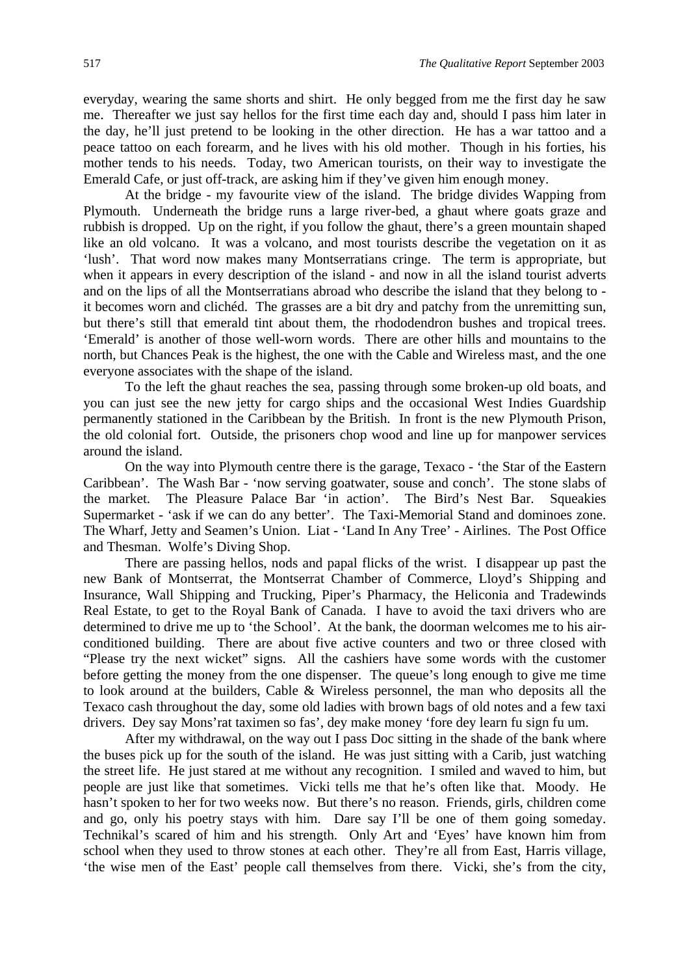everyday, wearing the same shorts and shirt. He only begged from me the first day he saw me. Thereafter we just say hellos for the first time each day and, should I pass him later in the day, he'll just pretend to be looking in the other direction. He has a war tattoo and a peace tattoo on each forearm, and he lives with his old mother. Though in his forties, his mother tends to his needs. Today, two American tourists, on their way to investigate the Emerald Cafe, or just off-track, are asking him if they've given him enough money.

At the bridge - my favourite view of the island. The bridge divides Wapping from Plymouth. Underneath the bridge runs a large river-bed, a ghaut where goats graze and rubbish is dropped. Up on the right, if you follow the ghaut, there's a green mountain shaped like an old volcano. It was a volcano, and most tourists describe the vegetation on it as 'lush'. That word now makes many Montserratians cringe. The term is appropriate, but when it appears in every description of the island - and now in all the island tourist adverts and on the lips of all the Montserratians abroad who describe the island that they belong to it becomes worn and clichéd. The grasses are a bit dry and patchy from the unremitting sun, but there's still that emerald tint about them, the rhododendron bushes and tropical trees. 'Emerald' is another of those well-worn words. There are other hills and mountains to the north, but Chances Peak is the highest, the one with the Cable and Wireless mast, and the one everyone associates with the shape of the island.

To the left the ghaut reaches the sea, passing through some broken-up old boats, and you can just see the new jetty for cargo ships and the occasional West Indies Guardship permanently stationed in the Caribbean by the British. In front is the new Plymouth Prison, the old colonial fort. Outside, the prisoners chop wood and line up for manpower services around the island.

On the way into Plymouth centre there is the garage, Texaco - 'the Star of the Eastern Caribbean'. The Wash Bar - 'now serving goatwater, souse and conch'. The stone slabs of the market. The Pleasure Palace Bar 'in action'. The Bird's Nest Bar. Squeakies Supermarket - 'ask if we can do any better'. The Taxi-Memorial Stand and dominoes zone. The Wharf, Jetty and Seamen's Union. Liat - 'Land In Any Tree' - Airlines. The Post Office and Thesman. Wolfe's Diving Shop.

There are passing hellos, nods and papal flicks of the wrist. I disappear up past the new Bank of Montserrat, the Montserrat Chamber of Commerce, Lloyd's Shipping and Insurance, Wall Shipping and Trucking, Piper's Pharmacy, the Heliconia and Tradewinds Real Estate, to get to the Royal Bank of Canada. I have to avoid the taxi drivers who are determined to drive me up to 'the School'. At the bank, the doorman welcomes me to his airconditioned building. There are about five active counters and two or three closed with "Please try the next wicket" signs. All the cashiers have some words with the customer before getting the money from the one dispenser. The queue's long enough to give me time to look around at the builders, Cable & Wireless personnel, the man who deposits all the Texaco cash throughout the day, some old ladies with brown bags of old notes and a few taxi drivers. Dey say Mons'rat taximen so fas', dey make money 'fore dey learn fu sign fu um.

After my withdrawal, on the way out I pass Doc sitting in the shade of the bank where the buses pick up for the south of the island. He was just sitting with a Carib, just watching the street life. He just stared at me without any recognition. I smiled and waved to him, but people are just like that sometimes. Vicki tells me that he's often like that. Moody. He hasn't spoken to her for two weeks now. But there's no reason. Friends, girls, children come and go, only his poetry stays with him. Dare say I'll be one of them going someday. Technikal's scared of him and his strength. Only Art and 'Eyes' have known him from school when they used to throw stones at each other. They're all from East, Harris village, 'the wise men of the East' people call themselves from there. Vicki, she's from the city,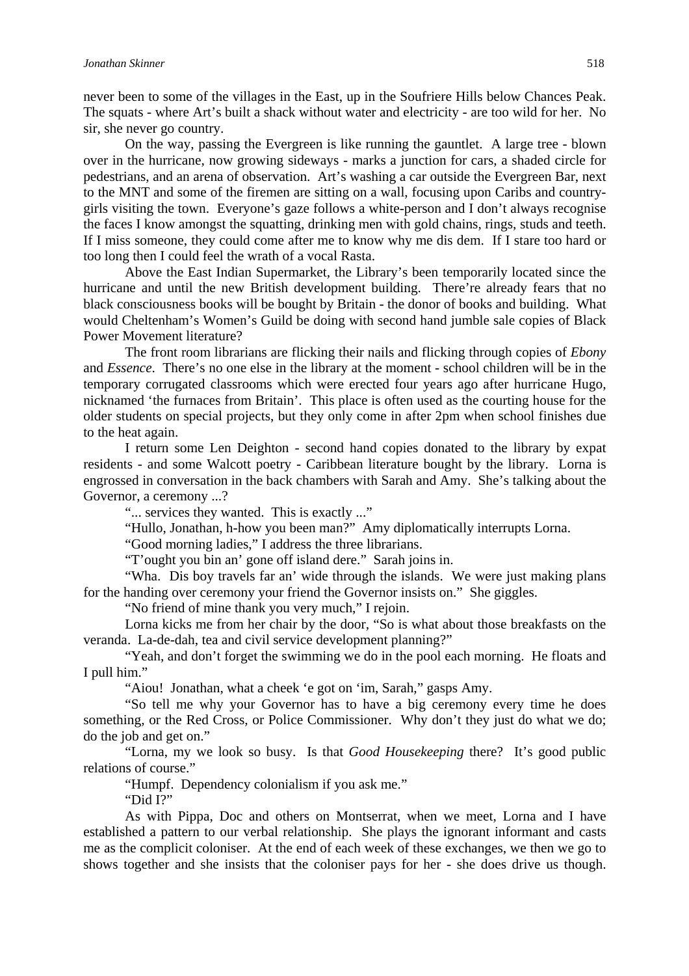never been to some of the villages in the East, up in the Soufriere Hills below Chances Peak. The squats - where Art's built a shack without water and electricity - are too wild for her. No sir, she never go country.

On the way, passing the Evergreen is like running the gauntlet. A large tree - blown over in the hurricane, now growing sideways - marks a junction for cars, a shaded circle for pedestrians, and an arena of observation. Art's washing a car outside the Evergreen Bar, next to the MNT and some of the firemen are sitting on a wall, focusing upon Caribs and countrygirls visiting the town. Everyone's gaze follows a white-person and I don't always recognise the faces I know amongst the squatting, drinking men with gold chains, rings, studs and teeth. If I miss someone, they could come after me to know why me dis dem. If I stare too hard or too long then I could feel the wrath of a vocal Rasta.

Above the East Indian Supermarket, the Library's been temporarily located since the hurricane and until the new British development building. There're already fears that no black consciousness books will be bought by Britain - the donor of books and building. What would Cheltenham's Women's Guild be doing with second hand jumble sale copies of Black Power Movement literature?

The front room librarians are flicking their nails and flicking through copies of *Ebony* and *Essence*. There's no one else in the library at the moment - school children will be in the temporary corrugated classrooms which were erected four years ago after hurricane Hugo, nicknamed 'the furnaces from Britain'. This place is often used as the courting house for the older students on special projects, but they only come in after 2pm when school finishes due to the heat again.

I return some Len Deighton - second hand copies donated to the library by expat residents - and some Walcott poetry - Caribbean literature bought by the library. Lorna is engrossed in conversation in the back chambers with Sarah and Amy. She's talking about the Governor, a ceremony ...?

"... services they wanted. This is exactly ..."

"Hullo, Jonathan, h-how you been man?" Amy diplomatically interrupts Lorna.

"Good morning ladies," I address the three librarians.

"T'ought you bin an' gone off island dere." Sarah joins in.

"Wha. Dis boy travels far an' wide through the islands. We were just making plans for the handing over ceremony your friend the Governor insists on." She giggles.

"No friend of mine thank you very much," I rejoin.

Lorna kicks me from her chair by the door, "So is what about those breakfasts on the veranda. La-de-dah, tea and civil service development planning?"

"Yeah, and don't forget the swimming we do in the pool each morning. He floats and I pull him."

"Aiou! Jonathan, what a cheek 'e got on 'im, Sarah," gasps Amy.

"So tell me why your Governor has to have a big ceremony every time he does something, or the Red Cross, or Police Commissioner. Why don't they just do what we do; do the job and get on."

"Lorna, my we look so busy. Is that *Good Housekeeping* there? It's good public relations of course."

"Humpf. Dependency colonialism if you ask me."

"Did I?"

As with Pippa, Doc and others on Montserrat, when we meet, Lorna and I have established a pattern to our verbal relationship. She plays the ignorant informant and casts me as the complicit coloniser. At the end of each week of these exchanges, we then we go to shows together and she insists that the coloniser pays for her - she does drive us though.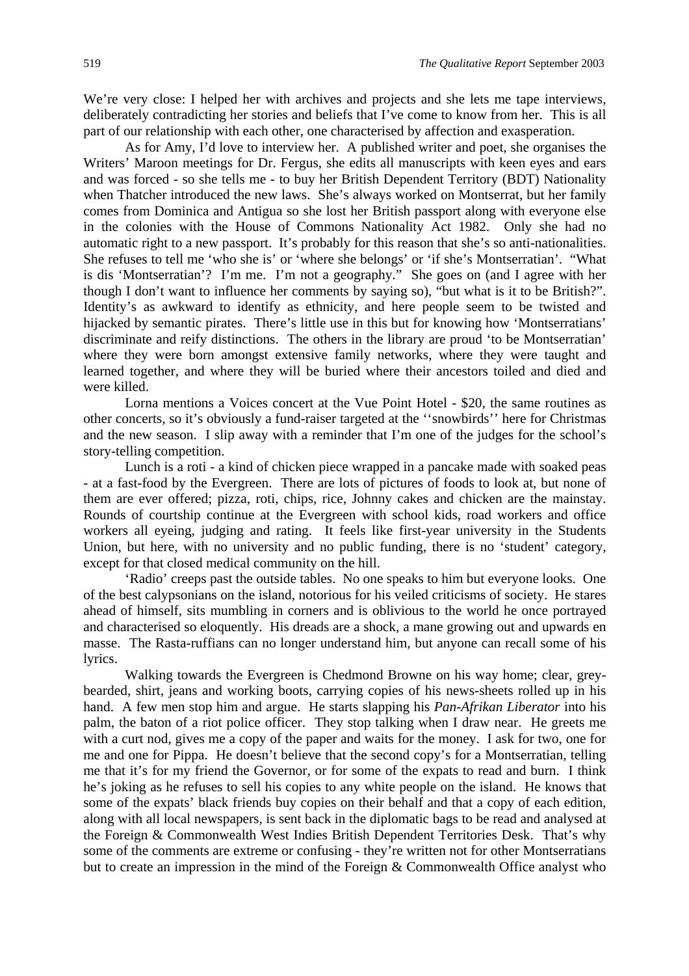We're very close: I helped her with archives and projects and she lets me tape interviews, deliberately contradicting her stories and beliefs that I've come to know from her. This is all part of our relationship with each other, one characterised by affection and exasperation.

As for Amy, I'd love to interview her. A published writer and poet, she organises the Writers' Maroon meetings for Dr. Fergus, she edits all manuscripts with keen eyes and ears and was forced - so she tells me - to buy her British Dependent Territory (BDT) Nationality when Thatcher introduced the new laws. She's always worked on Montserrat, but her family comes from Dominica and Antigua so she lost her British passport along with everyone else in the colonies with the House of Commons Nationality Act 1982. Only she had no automatic right to a new passport. It's probably for this reason that she's so anti-nationalities. She refuses to tell me 'who she is' or 'where she belongs' or 'if she's Montserratian'. "What is dis 'Montserratian'? I'm me. I'm not a geography." She goes on (and I agree with her though I don't want to influence her comments by saying so), "but what is it to be British?". Identity's as awkward to identify as ethnicity, and here people seem to be twisted and hijacked by semantic pirates. There's little use in this but for knowing how 'Montserratians' discriminate and reify distinctions. The others in the library are proud 'to be Montserratian' where they were born amongst extensive family networks, where they were taught and learned together, and where they will be buried where their ancestors toiled and died and were killed.

Lorna mentions a Voices concert at the Vue Point Hotel - \$20, the same routines as other concerts, so it's obviously a fund-raiser targeted at the ''snowbirds'' here for Christmas and the new season. I slip away with a reminder that I'm one of the judges for the school's story-telling competition.

Lunch is a roti - a kind of chicken piece wrapped in a pancake made with soaked peas - at a fast-food by the Evergreen. There are lots of pictures of foods to look at, but none of them are ever offered; pizza, roti, chips, rice, Johnny cakes and chicken are the mainstay. Rounds of courtship continue at the Evergreen with school kids, road workers and office workers all eyeing, judging and rating. It feels like first-year university in the Students Union, but here, with no university and no public funding, there is no 'student' category, except for that closed medical community on the hill.

'Radio' creeps past the outside tables. No one speaks to him but everyone looks. One of the best calypsonians on the island, notorious for his veiled criticisms of society. He stares ahead of himself, sits mumbling in corners and is oblivious to the world he once portrayed and characterised so eloquently. His dreads are a shock, a mane growing out and upwards en masse. The Rasta-ruffians can no longer understand him, but anyone can recall some of his lyrics.

Walking towards the Evergreen is Chedmond Browne on his way home; clear, greybearded, shirt, jeans and working boots, carrying copies of his news-sheets rolled up in his hand. A few men stop him and argue. He starts slapping his *Pan-Afrikan Liberator* into his palm, the baton of a riot police officer. They stop talking when I draw near. He greets me with a curt nod, gives me a copy of the paper and waits for the money. I ask for two, one for me and one for Pippa. He doesn't believe that the second copy's for a Montserratian, telling me that it's for my friend the Governor, or for some of the expats to read and burn. I think he's joking as he refuses to sell his copies to any white people on the island. He knows that some of the expats' black friends buy copies on their behalf and that a copy of each edition, along with all local newspapers, is sent back in the diplomatic bags to be read and analysed at the Foreign & Commonwealth West Indies British Dependent Territories Desk. That's why some of the comments are extreme or confusing - they're written not for other Montserratians but to create an impression in the mind of the Foreign & Commonwealth Office analyst who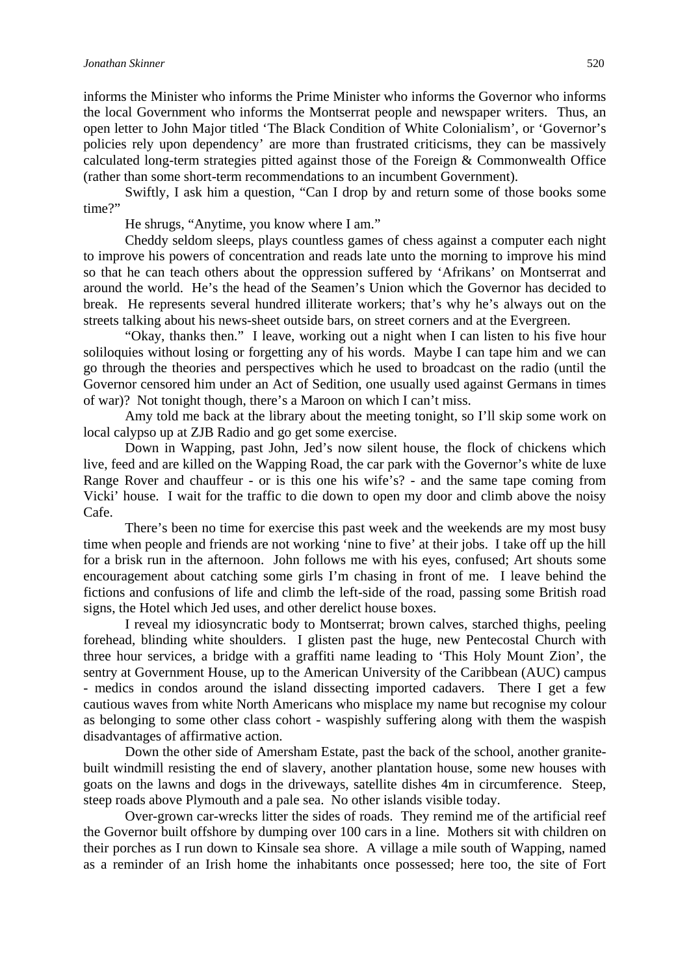informs the Minister who informs the Prime Minister who informs the Governor who informs the local Government who informs the Montserrat people and newspaper writers. Thus, an open letter to John Major titled 'The Black Condition of White Colonialism', or 'Governor's policies rely upon dependency' are more than frustrated criticisms, they can be massively calculated long-term strategies pitted against those of the Foreign & Commonwealth Office (rather than some short-term recommendations to an incumbent Government).

Swiftly, I ask him a question, "Can I drop by and return some of those books some time?"

He shrugs, "Anytime, you know where I am."

Cheddy seldom sleeps, plays countless games of chess against a computer each night to improve his powers of concentration and reads late unto the morning to improve his mind so that he can teach others about the oppression suffered by 'Afrikans' on Montserrat and around the world. He's the head of the Seamen's Union which the Governor has decided to break. He represents several hundred illiterate workers; that's why he's always out on the streets talking about his news-sheet outside bars, on street corners and at the Evergreen.

"Okay, thanks then." I leave, working out a night when I can listen to his five hour soliloquies without losing or forgetting any of his words. Maybe I can tape him and we can go through the theories and perspectives which he used to broadcast on the radio (until the Governor censored him under an Act of Sedition, one usually used against Germans in times of war)? Not tonight though, there's a Maroon on which I can't miss.

Amy told me back at the library about the meeting tonight, so I'll skip some work on local calypso up at ZJB Radio and go get some exercise.

Down in Wapping, past John, Jed's now silent house, the flock of chickens which live, feed and are killed on the Wapping Road, the car park with the Governor's white de luxe Range Rover and chauffeur - or is this one his wife's? - and the same tape coming from Vicki' house. I wait for the traffic to die down to open my door and climb above the noisy Cafe.

There's been no time for exercise this past week and the weekends are my most busy time when people and friends are not working 'nine to five' at their jobs. I take off up the hill for a brisk run in the afternoon. John follows me with his eyes, confused; Art shouts some encouragement about catching some girls I'm chasing in front of me. I leave behind the fictions and confusions of life and climb the left-side of the road, passing some British road signs, the Hotel which Jed uses, and other derelict house boxes.

I reveal my idiosyncratic body to Montserrat; brown calves, starched thighs, peeling forehead, blinding white shoulders. I glisten past the huge, new Pentecostal Church with three hour services, a bridge with a graffiti name leading to 'This Holy Mount Zion', the sentry at Government House, up to the American University of the Caribbean (AUC) campus - medics in condos around the island dissecting imported cadavers. There I get a few cautious waves from white North Americans who misplace my name but recognise my colour as belonging to some other class cohort - waspishly suffering along with them the waspish disadvantages of affirmative action.

Down the other side of Amersham Estate, past the back of the school, another granitebuilt windmill resisting the end of slavery, another plantation house, some new houses with goats on the lawns and dogs in the driveways, satellite dishes 4m in circumference. Steep, steep roads above Plymouth and a pale sea. No other islands visible today.

Over-grown car-wrecks litter the sides of roads. They remind me of the artificial reef the Governor built offshore by dumping over 100 cars in a line. Mothers sit with children on their porches as I run down to Kinsale sea shore. A village a mile south of Wapping, named as a reminder of an Irish home the inhabitants once possessed; here too, the site of Fort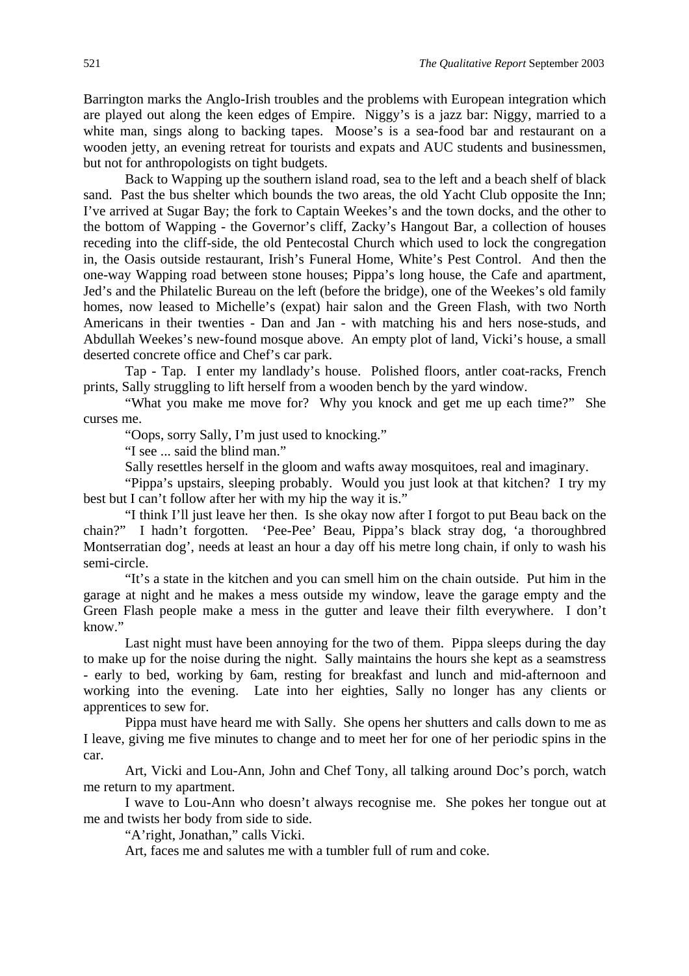Barrington marks the Anglo-Irish troubles and the problems with European integration which are played out along the keen edges of Empire. Niggy's is a jazz bar: Niggy, married to a white man, sings along to backing tapes. Moose's is a sea-food bar and restaurant on a wooden jetty, an evening retreat for tourists and expats and AUC students and businessmen, but not for anthropologists on tight budgets.

Back to Wapping up the southern island road, sea to the left and a beach shelf of black sand. Past the bus shelter which bounds the two areas, the old Yacht Club opposite the Inn; I've arrived at Sugar Bay; the fork to Captain Weekes's and the town docks, and the other to the bottom of Wapping - the Governor's cliff, Zacky's Hangout Bar, a collection of houses receding into the cliff-side, the old Pentecostal Church which used to lock the congregation in, the Oasis outside restaurant, Irish's Funeral Home, White's Pest Control. And then the one-way Wapping road between stone houses; Pippa's long house, the Cafe and apartment, Jed's and the Philatelic Bureau on the left (before the bridge), one of the Weekes's old family homes, now leased to Michelle's (expat) hair salon and the Green Flash, with two North Americans in their twenties - Dan and Jan - with matching his and hers nose-studs, and Abdullah Weekes's new-found mosque above. An empty plot of land, Vicki's house, a small deserted concrete office and Chef's car park.

Tap - Tap. I enter my landlady's house. Polished floors, antler coat-racks, French prints, Sally struggling to lift herself from a wooden bench by the yard window.

"What you make me move for? Why you knock and get me up each time?" She curses me.

"Oops, sorry Sally, I'm just used to knocking."

"I see ... said the blind man."

Sally resettles herself in the gloom and wafts away mosquitoes, real and imaginary.

"Pippa's upstairs, sleeping probably. Would you just look at that kitchen? I try my best but I can't follow after her with my hip the way it is."

"I think I'll just leave her then. Is she okay now after I forgot to put Beau back on the chain?" I hadn't forgotten. 'Pee-Pee' Beau, Pippa's black stray dog, 'a thoroughbred Montserratian dog', needs at least an hour a day off his metre long chain, if only to wash his semi-circle.

"It's a state in the kitchen and you can smell him on the chain outside. Put him in the garage at night and he makes a mess outside my window, leave the garage empty and the Green Flash people make a mess in the gutter and leave their filth everywhere. I don't know."

Last night must have been annoying for the two of them. Pippa sleeps during the day to make up for the noise during the night. Sally maintains the hours she kept as a seamstress - early to bed, working by 6am, resting for breakfast and lunch and mid-afternoon and working into the evening. Late into her eighties, Sally no longer has any clients or apprentices to sew for.

Pippa must have heard me with Sally. She opens her shutters and calls down to me as I leave, giving me five minutes to change and to meet her for one of her periodic spins in the car.

Art, Vicki and Lou-Ann, John and Chef Tony, all talking around Doc's porch, watch me return to my apartment.

I wave to Lou-Ann who doesn't always recognise me. She pokes her tongue out at me and twists her body from side to side.

"A'right, Jonathan," calls Vicki.

Art, faces me and salutes me with a tumbler full of rum and coke.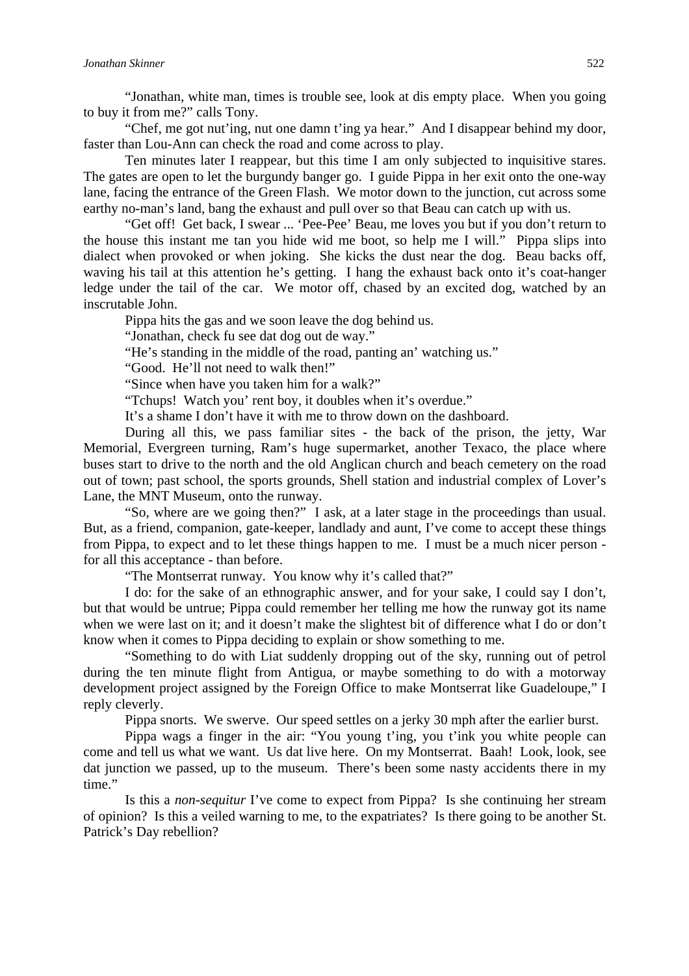#### *Jonathan Skinner* 522

"Jonathan, white man, times is trouble see, look at dis empty place. When you going to buy it from me?" calls Tony.

"Chef, me got nut'ing, nut one damn t'ing ya hear." And I disappear behind my door, faster than Lou-Ann can check the road and come across to play.

Ten minutes later I reappear, but this time I am only subjected to inquisitive stares. The gates are open to let the burgundy banger go. I guide Pippa in her exit onto the one-way lane, facing the entrance of the Green Flash. We motor down to the junction, cut across some earthy no-man's land, bang the exhaust and pull over so that Beau can catch up with us.

"Get off! Get back, I swear ... 'Pee-Pee' Beau, me loves you but if you don't return to the house this instant me tan you hide wid me boot, so help me I will." Pippa slips into dialect when provoked or when joking. She kicks the dust near the dog. Beau backs off, waving his tail at this attention he's getting. I hang the exhaust back onto it's coat-hanger ledge under the tail of the car. We motor off, chased by an excited dog, watched by an inscrutable John.

Pippa hits the gas and we soon leave the dog behind us.

"Jonathan, check fu see dat dog out de way."

"He's standing in the middle of the road, panting an' watching us."

"Good. He'll not need to walk then!"

"Since when have you taken him for a walk?"

"Tchups! Watch you' rent boy, it doubles when it's overdue."

It's a shame I don't have it with me to throw down on the dashboard.

During all this, we pass familiar sites - the back of the prison, the jetty, War Memorial, Evergreen turning, Ram's huge supermarket, another Texaco, the place where buses start to drive to the north and the old Anglican church and beach cemetery on the road out of town; past school, the sports grounds, Shell station and industrial complex of Lover's Lane, the MNT Museum, onto the runway.

"So, where are we going then?" I ask, at a later stage in the proceedings than usual. But, as a friend, companion, gate-keeper, landlady and aunt, I've come to accept these things from Pippa, to expect and to let these things happen to me. I must be a much nicer person for all this acceptance - than before.

"The Montserrat runway. You know why it's called that?"

I do: for the sake of an ethnographic answer, and for your sake, I could say I don't, but that would be untrue; Pippa could remember her telling me how the runway got its name when we were last on it; and it doesn't make the slightest bit of difference what I do or don't know when it comes to Pippa deciding to explain or show something to me.

"Something to do with Liat suddenly dropping out of the sky, running out of petrol during the ten minute flight from Antigua, or maybe something to do with a motorway development project assigned by the Foreign Office to make Montserrat like Guadeloupe," I reply cleverly.

Pippa snorts. We swerve. Our speed settles on a jerky 30 mph after the earlier burst.

Pippa wags a finger in the air: "You young t'ing, you t'ink you white people can come and tell us what we want. Us dat live here. On my Montserrat. Baah! Look, look, see dat junction we passed, up to the museum. There's been some nasty accidents there in my time."

Is this a *non-sequitur* I've come to expect from Pippa? Is she continuing her stream of opinion? Is this a veiled warning to me, to the expatriates? Is there going to be another St. Patrick's Day rebellion?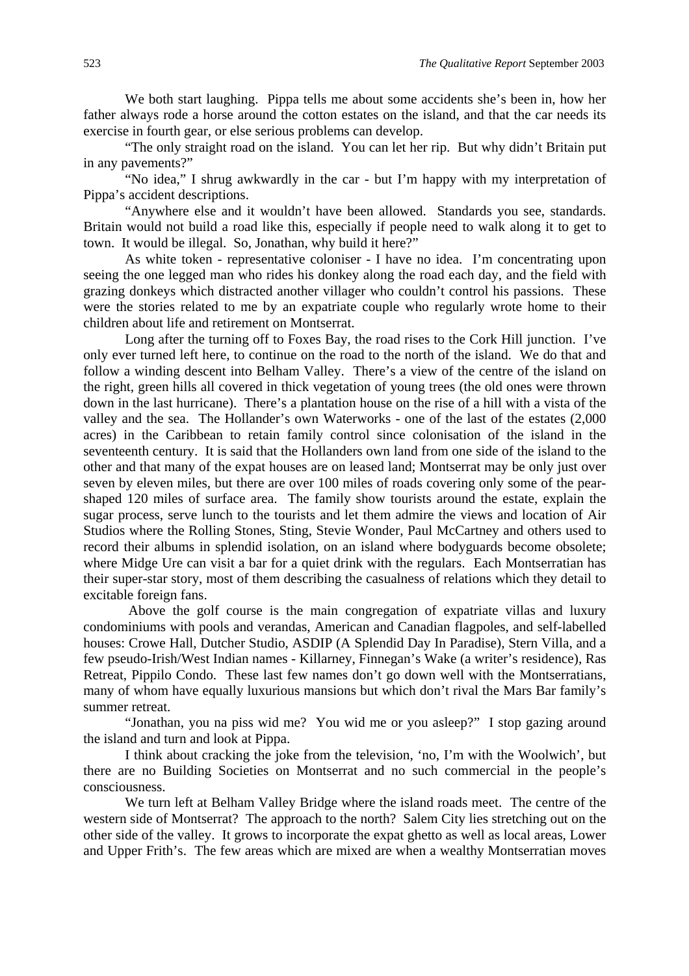We both start laughing. Pippa tells me about some accidents she's been in, how her father always rode a horse around the cotton estates on the island, and that the car needs its exercise in fourth gear, or else serious problems can develop.

"The only straight road on the island. You can let her rip. But why didn't Britain put in any pavements?"

"No idea," I shrug awkwardly in the car - but I'm happy with my interpretation of Pippa's accident descriptions.

"Anywhere else and it wouldn't have been allowed. Standards you see, standards. Britain would not build a road like this, especially if people need to walk along it to get to town. It would be illegal. So, Jonathan, why build it here?"

As white token - representative coloniser - I have no idea. I'm concentrating upon seeing the one legged man who rides his donkey along the road each day, and the field with grazing donkeys which distracted another villager who couldn't control his passions. These were the stories related to me by an expatriate couple who regularly wrote home to their children about life and retirement on Montserrat.

Long after the turning off to Foxes Bay, the road rises to the Cork Hill junction. I've only ever turned left here, to continue on the road to the north of the island. We do that and follow a winding descent into Belham Valley. There's a view of the centre of the island on the right, green hills all covered in thick vegetation of young trees (the old ones were thrown down in the last hurricane). There's a plantation house on the rise of a hill with a vista of the valley and the sea. The Hollander's own Waterworks - one of the last of the estates (2,000 acres) in the Caribbean to retain family control since colonisation of the island in the seventeenth century. It is said that the Hollanders own land from one side of the island to the other and that many of the expat houses are on leased land; Montserrat may be only just over seven by eleven miles, but there are over 100 miles of roads covering only some of the pearshaped 120 miles of surface area. The family show tourists around the estate, explain the sugar process, serve lunch to the tourists and let them admire the views and location of Air Studios where the Rolling Stones, Sting, Stevie Wonder, Paul McCartney and others used to record their albums in splendid isolation, on an island where bodyguards become obsolete; where Midge Ure can visit a bar for a quiet drink with the regulars. Each Montserratian has their super-star story, most of them describing the casualness of relations which they detail to excitable foreign fans.

 Above the golf course is the main congregation of expatriate villas and luxury condominiums with pools and verandas, American and Canadian flagpoles, and self-labelled houses: Crowe Hall, Dutcher Studio, ASDIP (A Splendid Day In Paradise), Stern Villa, and a few pseudo-Irish/West Indian names - Killarney, Finnegan's Wake (a writer's residence), Ras Retreat, Pippilo Condo. These last few names don't go down well with the Montserratians, many of whom have equally luxurious mansions but which don't rival the Mars Bar family's summer retreat.

"Jonathan, you na piss wid me? You wid me or you asleep?" I stop gazing around the island and turn and look at Pippa.

I think about cracking the joke from the television, 'no, I'm with the Woolwich', but there are no Building Societies on Montserrat and no such commercial in the people's consciousness.

We turn left at Belham Valley Bridge where the island roads meet. The centre of the western side of Montserrat? The approach to the north? Salem City lies stretching out on the other side of the valley. It grows to incorporate the expat ghetto as well as local areas, Lower and Upper Frith's. The few areas which are mixed are when a wealthy Montserratian moves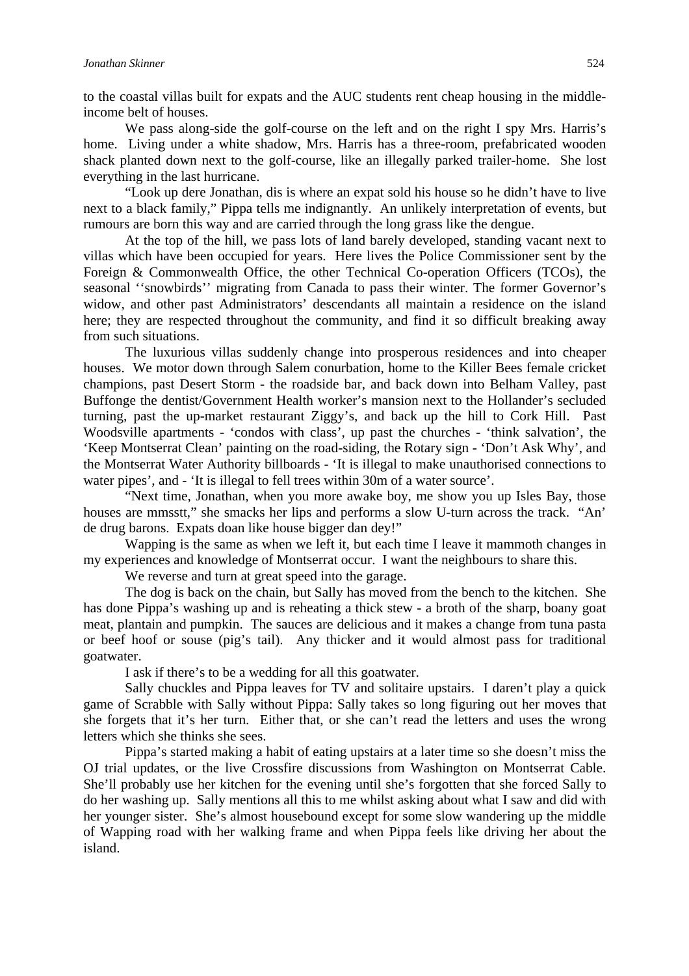to the coastal villas built for expats and the AUC students rent cheap housing in the middleincome belt of houses.

We pass along-side the golf-course on the left and on the right I spy Mrs. Harris's home. Living under a white shadow, Mrs. Harris has a three-room, prefabricated wooden shack planted down next to the golf-course, like an illegally parked trailer-home. She lost everything in the last hurricane.

"Look up dere Jonathan, dis is where an expat sold his house so he didn't have to live next to a black family," Pippa tells me indignantly. An unlikely interpretation of events, but rumours are born this way and are carried through the long grass like the dengue.

At the top of the hill, we pass lots of land barely developed, standing vacant next to villas which have been occupied for years. Here lives the Police Commissioner sent by the Foreign & Commonwealth Office, the other Technical Co-operation Officers (TCOs), the seasonal ''snowbirds'' migrating from Canada to pass their winter. The former Governor's widow, and other past Administrators' descendants all maintain a residence on the island here; they are respected throughout the community, and find it so difficult breaking away from such situations.

The luxurious villas suddenly change into prosperous residences and into cheaper houses. We motor down through Salem conurbation, home to the Killer Bees female cricket champions, past Desert Storm - the roadside bar, and back down into Belham Valley, past Buffonge the dentist/Government Health worker's mansion next to the Hollander's secluded turning, past the up-market restaurant Ziggy's, and back up the hill to Cork Hill. Past Woodsville apartments - 'condos with class', up past the churches - 'think salvation', the 'Keep Montserrat Clean' painting on the road-siding, the Rotary sign - 'Don't Ask Why', and the Montserrat Water Authority billboards - 'It is illegal to make unauthorised connections to water pipes', and - 'It is illegal to fell trees within 30m of a water source'.

"Next time, Jonathan, when you more awake boy, me show you up Isles Bay, those houses are mmsstt," she smacks her lips and performs a slow U-turn across the track. "An' de drug barons. Expats doan like house bigger dan dey!"

Wapping is the same as when we left it, but each time I leave it mammoth changes in my experiences and knowledge of Montserrat occur. I want the neighbours to share this.

We reverse and turn at great speed into the garage.

The dog is back on the chain, but Sally has moved from the bench to the kitchen. She has done Pippa's washing up and is reheating a thick stew - a broth of the sharp, boany goat meat, plantain and pumpkin. The sauces are delicious and it makes a change from tuna pasta or beef hoof or souse (pig's tail). Any thicker and it would almost pass for traditional goatwater.

I ask if there's to be a wedding for all this goatwater.

Sally chuckles and Pippa leaves for TV and solitaire upstairs. I daren't play a quick game of Scrabble with Sally without Pippa: Sally takes so long figuring out her moves that she forgets that it's her turn. Either that, or she can't read the letters and uses the wrong letters which she thinks she sees.

Pippa's started making a habit of eating upstairs at a later time so she doesn't miss the OJ trial updates, or the live Crossfire discussions from Washington on Montserrat Cable. She'll probably use her kitchen for the evening until she's forgotten that she forced Sally to do her washing up. Sally mentions all this to me whilst asking about what I saw and did with her younger sister. She's almost housebound except for some slow wandering up the middle of Wapping road with her walking frame and when Pippa feels like driving her about the island.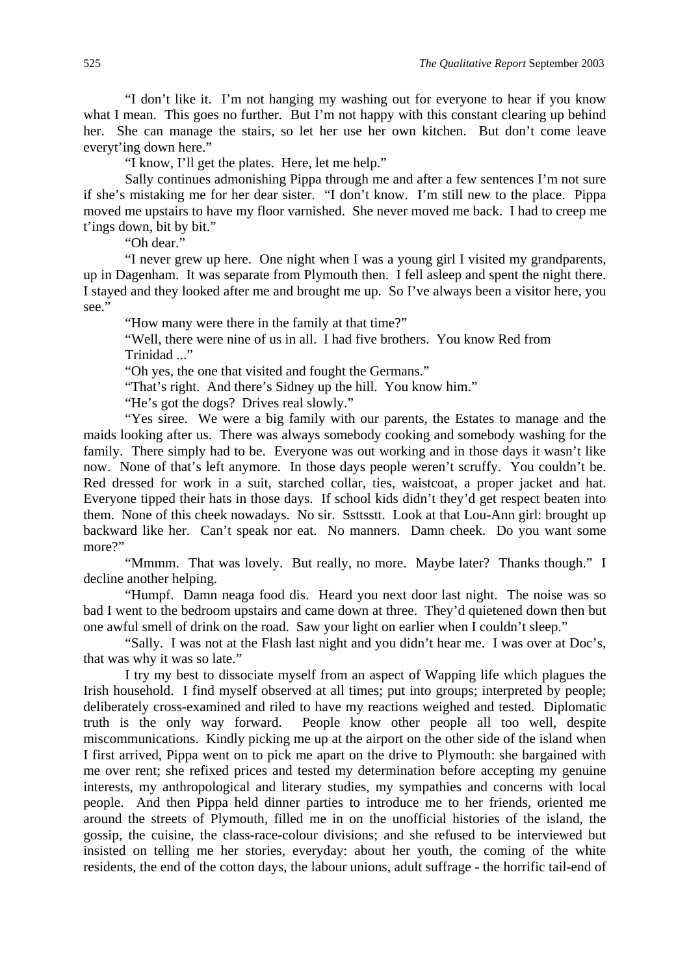"I don't like it. I'm not hanging my washing out for everyone to hear if you know what I mean. This goes no further. But I'm not happy with this constant clearing up behind her. She can manage the stairs, so let her use her own kitchen. But don't come leave everyt'ing down here."

"I know, I'll get the plates. Here, let me help."

Sally continues admonishing Pippa through me and after a few sentences I'm not sure if she's mistaking me for her dear sister. "I don't know. I'm still new to the place. Pippa moved me upstairs to have my floor varnished. She never moved me back. I had to creep me t'ings down, bit by bit."

"Oh dear."

"I never grew up here. One night when I was a young girl I visited my grandparents, up in Dagenham. It was separate from Plymouth then. I fell asleep and spent the night there. I stayed and they looked after me and brought me up. So I've always been a visitor here, you see."

"How many were there in the family at that time?"

"Well, there were nine of us in all. I had five brothers. You know Red from Trinidad ..."

"Oh yes, the one that visited and fought the Germans."

"That's right. And there's Sidney up the hill. You know him."

"He's got the dogs? Drives real slowly."

"Yes siree. We were a big family with our parents, the Estates to manage and the maids looking after us. There was always somebody cooking and somebody washing for the family. There simply had to be. Everyone was out working and in those days it wasn't like now. None of that's left anymore. In those days people weren't scruffy. You couldn't be. Red dressed for work in a suit, starched collar, ties, waistcoat, a proper jacket and hat. Everyone tipped their hats in those days. If school kids didn't they'd get respect beaten into them. None of this cheek nowadays. No sir. Ssttsstt. Look at that Lou-Ann girl: brought up backward like her. Can't speak nor eat. No manners. Damn cheek. Do you want some more?"

"Mmmm. That was lovely. But really, no more. Maybe later? Thanks though." I decline another helping.

"Humpf. Damn neaga food dis. Heard you next door last night. The noise was so bad I went to the bedroom upstairs and came down at three. They'd quietened down then but one awful smell of drink on the road. Saw your light on earlier when I couldn't sleep."

"Sally. I was not at the Flash last night and you didn't hear me. I was over at Doc's, that was why it was so late."

I try my best to dissociate myself from an aspect of Wapping life which plagues the Irish household. I find myself observed at all times; put into groups; interpreted by people; deliberately cross-examined and riled to have my reactions weighed and tested. Diplomatic truth is the only way forward. People know other people all too well, despite miscommunications. Kindly picking me up at the airport on the other side of the island when I first arrived, Pippa went on to pick me apart on the drive to Plymouth: she bargained with me over rent; she refixed prices and tested my determination before accepting my genuine interests, my anthropological and literary studies, my sympathies and concerns with local people. And then Pippa held dinner parties to introduce me to her friends, oriented me around the streets of Plymouth, filled me in on the unofficial histories of the island, the gossip, the cuisine, the class-race-colour divisions; and she refused to be interviewed but insisted on telling me her stories, everyday: about her youth, the coming of the white residents, the end of the cotton days, the labour unions, adult suffrage - the horrific tail-end of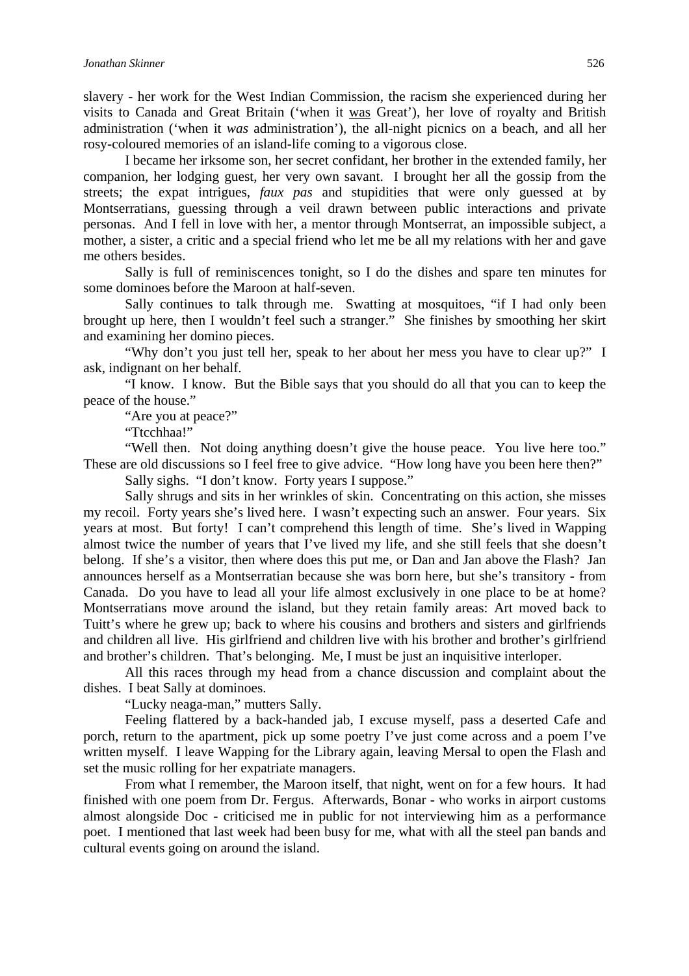slavery - her work for the West Indian Commission, the racism she experienced during her visits to Canada and Great Britain ('when it was Great'), her love of royalty and British administration ('when it *was* administration'), the all-night picnics on a beach, and all her rosy-coloured memories of an island-life coming to a vigorous close.

I became her irksome son, her secret confidant, her brother in the extended family, her companion, her lodging guest, her very own savant. I brought her all the gossip from the streets; the expat intrigues, *faux pas* and stupidities that were only guessed at by Montserratians, guessing through a veil drawn between public interactions and private personas. And I fell in love with her, a mentor through Montserrat, an impossible subject, a mother, a sister, a critic and a special friend who let me be all my relations with her and gave me others besides.

Sally is full of reminiscences tonight, so I do the dishes and spare ten minutes for some dominoes before the Maroon at half-seven.

Sally continues to talk through me. Swatting at mosquitoes, "if I had only been brought up here, then I wouldn't feel such a stranger." She finishes by smoothing her skirt and examining her domino pieces.

"Why don't you just tell her, speak to her about her mess you have to clear up?" I ask, indignant on her behalf.

"I know. I know. But the Bible says that you should do all that you can to keep the peace of the house."

"Are you at peace?"

"Ttcchhaa!"

"Well then. Not doing anything doesn't give the house peace. You live here too." These are old discussions so I feel free to give advice. "How long have you been here then?"

Sally sighs. "I don't know. Forty years I suppose."

Sally shrugs and sits in her wrinkles of skin. Concentrating on this action, she misses my recoil. Forty years she's lived here. I wasn't expecting such an answer. Four years. Six years at most. But forty! I can't comprehend this length of time. She's lived in Wapping almost twice the number of years that I've lived my life, and she still feels that she doesn't belong. If she's a visitor, then where does this put me, or Dan and Jan above the Flash? Jan announces herself as a Montserratian because she was born here, but she's transitory - from Canada. Do you have to lead all your life almost exclusively in one place to be at home? Montserratians move around the island, but they retain family areas: Art moved back to Tuitt's where he grew up; back to where his cousins and brothers and sisters and girlfriends and children all live. His girlfriend and children live with his brother and brother's girlfriend and brother's children. That's belonging. Me, I must be just an inquisitive interloper.

All this races through my head from a chance discussion and complaint about the dishes. I beat Sally at dominoes.

"Lucky neaga-man," mutters Sally.

Feeling flattered by a back-handed jab, I excuse myself, pass a deserted Cafe and porch, return to the apartment, pick up some poetry I've just come across and a poem I've written myself. I leave Wapping for the Library again, leaving Mersal to open the Flash and set the music rolling for her expatriate managers.

From what I remember, the Maroon itself, that night, went on for a few hours. It had finished with one poem from Dr. Fergus. Afterwards, Bonar - who works in airport customs almost alongside Doc - criticised me in public for not interviewing him as a performance poet. I mentioned that last week had been busy for me, what with all the steel pan bands and cultural events going on around the island.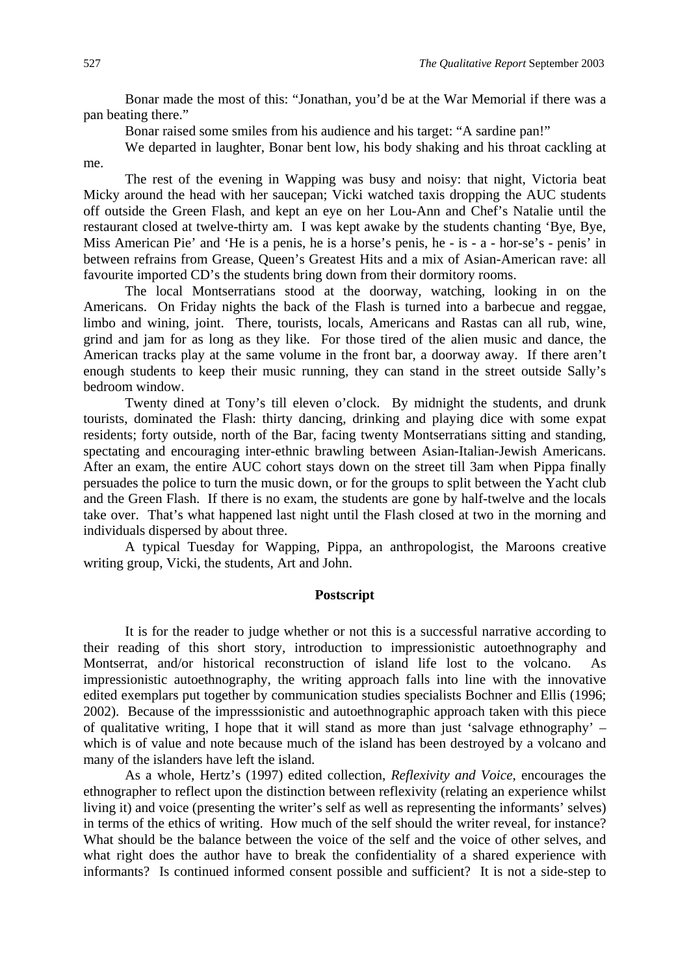Bonar made the most of this: "Jonathan, you'd be at the War Memorial if there was a pan beating there."

Bonar raised some smiles from his audience and his target: "A sardine pan!"

We departed in laughter, Bonar bent low, his body shaking and his throat cackling at me.

The rest of the evening in Wapping was busy and noisy: that night, Victoria beat Micky around the head with her saucepan; Vicki watched taxis dropping the AUC students off outside the Green Flash, and kept an eye on her Lou-Ann and Chef's Natalie until the restaurant closed at twelve-thirty am. I was kept awake by the students chanting 'Bye, Bye, Miss American Pie' and 'He is a penis, he is a horse's penis, he - is - a - hor-se's - penis' in between refrains from Grease, Queen's Greatest Hits and a mix of Asian-American rave: all favourite imported CD's the students bring down from their dormitory rooms.

The local Montserratians stood at the doorway, watching, looking in on the Americans. On Friday nights the back of the Flash is turned into a barbecue and reggae, limbo and wining, joint. There, tourists, locals, Americans and Rastas can all rub, wine, grind and jam for as long as they like. For those tired of the alien music and dance, the American tracks play at the same volume in the front bar, a doorway away. If there aren't enough students to keep their music running, they can stand in the street outside Sally's bedroom window.

Twenty dined at Tony's till eleven o'clock. By midnight the students, and drunk tourists, dominated the Flash: thirty dancing, drinking and playing dice with some expat residents; forty outside, north of the Bar, facing twenty Montserratians sitting and standing, spectating and encouraging inter-ethnic brawling between Asian-Italian-Jewish Americans. After an exam, the entire AUC cohort stays down on the street till 3am when Pippa finally persuades the police to turn the music down, or for the groups to split between the Yacht club and the Green Flash. If there is no exam, the students are gone by half-twelve and the locals take over. That's what happened last night until the Flash closed at two in the morning and individuals dispersed by about three.

A typical Tuesday for Wapping, Pippa, an anthropologist, the Maroons creative writing group, Vicki, the students, Art and John.

#### **Postscript**

It is for the reader to judge whether or not this is a successful narrative according to their reading of this short story, introduction to impressionistic autoethnography and Montserrat, and/or historical reconstruction of island life lost to the volcano. As impressionistic autoethnography, the writing approach falls into line with the innovative edited exemplars put together by communication studies specialists Bochner and Ellis (1996; 2002). Because of the impresssionistic and autoethnographic approach taken with this piece of qualitative writing, I hope that it will stand as more than just 'salvage ethnography' – which is of value and note because much of the island has been destroyed by a volcano and many of the islanders have left the island.

As a whole, Hertz's (1997) edited collection, *Reflexivity and Voice*, encourages the ethnographer to reflect upon the distinction between reflexivity (relating an experience whilst living it) and voice (presenting the writer's self as well as representing the informants' selves) in terms of the ethics of writing. How much of the self should the writer reveal, for instance? What should be the balance between the voice of the self and the voice of other selves, and what right does the author have to break the confidentiality of a shared experience with informants? Is continued informed consent possible and sufficient? It is not a side-step to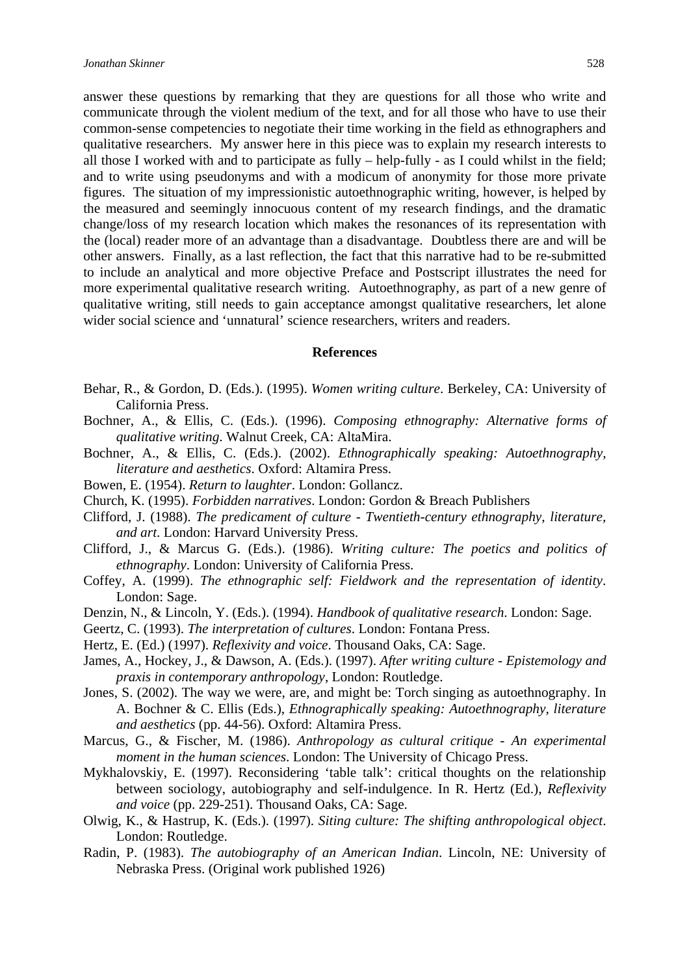answer these questions by remarking that they are questions for all those who write and communicate through the violent medium of the text, and for all those who have to use their common-sense competencies to negotiate their time working in the field as ethnographers and qualitative researchers. My answer here in this piece was to explain my research interests to all those I worked with and to participate as fully – help-fully - as I could whilst in the field; and to write using pseudonyms and with a modicum of anonymity for those more private figures. The situation of my impressionistic autoethnographic writing, however, is helped by the measured and seemingly innocuous content of my research findings, and the dramatic change/loss of my research location which makes the resonances of its representation with the (local) reader more of an advantage than a disadvantage. Doubtless there are and will be other answers. Finally, as a last reflection, the fact that this narrative had to be re-submitted to include an analytical and more objective Preface and Postscript illustrates the need for more experimental qualitative research writing. Autoethnography, as part of a new genre of qualitative writing, still needs to gain acceptance amongst qualitative researchers, let alone wider social science and 'unnatural' science researchers, writers and readers.

#### **References**

- Behar, R., & Gordon, D. (Eds.). (1995). *Women writing culture*. Berkeley, CA: University of California Press.
- Bochner, A., & Ellis, C. (Eds.). (1996). *Composing ethnography: Alternative forms of qualitative writing*. Walnut Creek, CA: AltaMira.
- Bochner, A., & Ellis, C. (Eds.). (2002). *Ethnographically speaking: Autoethnography, literature and aesthetics*. Oxford: Altamira Press.
- Bowen, E. (1954). *Return to laughter*. London: Gollancz.
- Church, K. (1995). *Forbidden narratives*. London: Gordon & Breach Publishers
- Clifford, J. (1988). *The predicament of culture Twentieth-century ethnography, literature, and art*. London: Harvard University Press.
- Clifford, J., & Marcus G. (Eds.). (1986). *Writing culture: The poetics and politics of ethnography*. London: University of California Press.
- Coffey, A. (1999). *The ethnographic self: Fieldwork and the representation of identity*. London: Sage.
- Denzin, N., & Lincoln, Y. (Eds.). (1994). *Handbook of qualitative research*. London: Sage.
- Geertz, C. (1993). *The interpretation of cultures*. London: Fontana Press.
- Hertz, E. (Ed.) (1997). *Reflexivity and voice*. Thousand Oaks, CA: Sage.
- James, A., Hockey, J., & Dawson, A. (Eds.). (1997). *After writing culture Epistemology and praxis in contemporary anthropology*, London: Routledge.
- Jones, S. (2002). The way we were, are, and might be: Torch singing as autoethnography. In A. Bochner & C. Ellis (Eds.), *Ethnographically speaking: Autoethnography, literature and aesthetics* (pp. 44-56). Oxford: Altamira Press.
- Marcus, G., & Fischer, M. (1986). *Anthropology as cultural critique An experimental moment in the human sciences*. London: The University of Chicago Press.
- Mykhalovskiy, E. (1997). Reconsidering 'table talk': critical thoughts on the relationship between sociology, autobiography and self-indulgence. In R. Hertz (Ed.), *Reflexivity and voice* (pp. 229-251). Thousand Oaks, CA: Sage.
- Olwig, K., & Hastrup, K. (Eds.). (1997). *Siting culture: The shifting anthropological object*. London: Routledge.
- Radin, P. (1983). *The autobiography of an American Indian*. Lincoln, NE: University of Nebraska Press. (Original work published 1926)